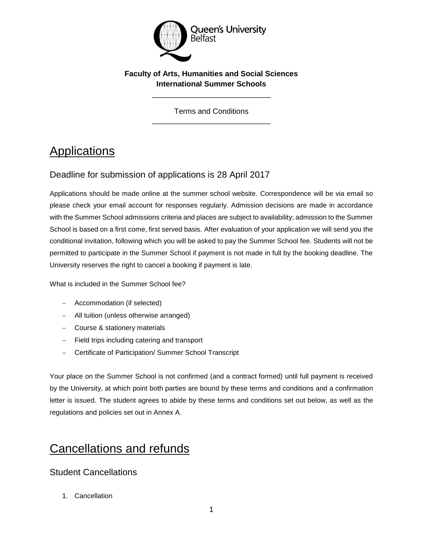

#### **Faculty of Arts, Humanities and Social Sciences International Summer Schools**

\_\_\_\_\_\_\_\_\_\_\_\_\_\_\_\_\_\_\_\_\_\_\_\_\_\_\_\_

Terms and Conditions \_\_\_\_\_\_\_\_\_\_\_\_\_\_\_\_\_\_\_\_\_\_\_\_\_\_\_\_

# **Applications**

#### Deadline for submission of applications is 28 April 2017

Applications should be made online at the summer school website. Correspondence will be via email so please check your email account for responses regularly. Admission decisions are made in accordance with the Summer School admissions criteria and places are subject to availability; admission to the Summer School is based on a first come, first served basis. After evaluation of your application we will send you the conditional invitation, following which you will be asked to pay the Summer School fee. Students will not be permitted to participate in the Summer School if payment is not made in full by the booking deadline. The University reserves the right to cancel a booking if payment is late.

What is included in the Summer School fee?

- Accommodation (if selected)
- All tuition (unless otherwise arranged)
- Course & stationery materials
- Field trips including catering and transport
- Certificate of Participation/ Summer School Transcript

Your place on the Summer School is not confirmed (and a contract formed) until full payment is received by the University, at which point both parties are bound by these terms and conditions and a confirmation letter is issued. The student agrees to abide by these terms and conditions set out below, as well as the regulations and policies set out in Annex A.

### Cancellations and refunds

#### Student Cancellations

1. Cancellation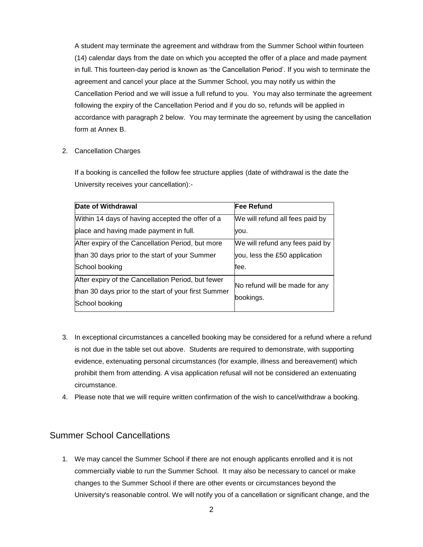A student may terminate the agreement and withdraw from the Summer School within fourteen (14) calendar days from the date on which you accepted the offer of a place and made payment in full. This fourteen-day period is known as 'the Cancellation Period'. If you wish to terminate the agreement and cancel your place at the Summer School, you may notify us within the Cancellation Period and we will issue a full refund to you. You may also terminate the agreement following the expiry of the Cancellation Period and if you do so, refunds will be applied in accordance with paragraph 2 below. You may terminate the agreement by using the cancellation form at Annex B.

2. Cancellation Charges

If a booking is cancelled the follow fee structure applies (date of withdrawal is the date the University receives your cancellation):-

| Date of Withdrawal                                                                                                           | lFee Refund                                 |
|------------------------------------------------------------------------------------------------------------------------------|---------------------------------------------|
| Within 14 days of having accepted the offer of a                                                                             | We will refund all fees paid by             |
| place and having made payment in full.                                                                                       | you.                                        |
| After expiry of the Cancellation Period, but more                                                                            | We will refund any fees paid by             |
| than 30 days prior to the start of your Summer                                                                               | you, less the £50 application               |
| School booking                                                                                                               | fee.                                        |
| After expiry of the Cancellation Period, but fewer<br>than 30 days prior to the start of your first Summer<br>School booking | No refund will be made for any<br>bookings. |

- 3. In exceptional circumstances a cancelled booking may be considered for a refund where a refund is not due in the table set out above. Students are required to demonstrate, with supporting evidence, extenuating personal circumstances (for example, illness and bereavement) which prohibit them from attending. A visa application refusal will not be considered an extenuating circumstance.
- 4. Please note that we will require written confirmation of the wish to cancel/withdraw a booking.

#### Summer School Cancellations

1. We may cancel the Summer School if there are not enough applicants enrolled and it is not commercially viable to run the Summer School. It may also be necessary to cancel or make changes to the Summer School if there are other events or circumstances beyond the University's reasonable control. We will notify you of a cancellation or significant change, and the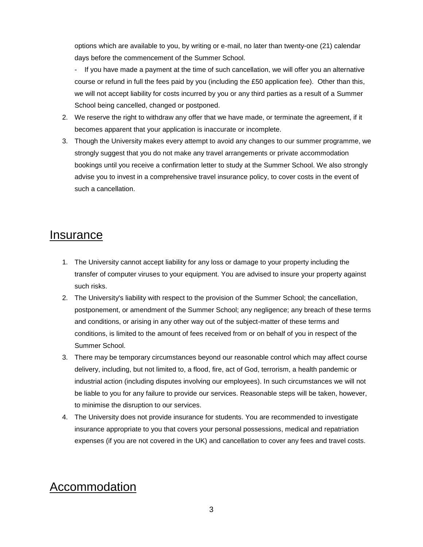options which are available to you, by writing or e-mail, no later than twenty-one (21) calendar days before the commencement of the Summer School.

- If you have made a payment at the time of such cancellation, we will offer you an alternative course or refund in full the fees paid by you (including the £50 application fee). Other than this, we will not accept liability for costs incurred by you or any third parties as a result of a Summer School being cancelled, changed or postponed.

- 2. We reserve the right to withdraw any offer that we have made, or terminate the agreement, if it becomes apparent that your application is inaccurate or incomplete.
- 3. Though the University makes every attempt to avoid any changes to our summer programme, we strongly suggest that you do not make any travel arrangements or private accommodation bookings until you receive a confirmation letter to study at the Summer School. We also strongly advise you to invest in a comprehensive travel insurance policy, to cover costs in the event of such a cancellation.

#### **Insurance**

- 1. The University cannot accept liability for any loss or damage to your property including the transfer of computer viruses to your equipment. You are advised to insure your property against such risks.
- 2. The University's liability with respect to the provision of the Summer School; the cancellation, postponement, or amendment of the Summer School; any negligence; any breach of these terms and conditions, or arising in any other way out of the subject-matter of these terms and conditions, is limited to the amount of fees received from or on behalf of you in respect of the Summer School.
- 3. There may be temporary circumstances beyond our reasonable control which may affect course delivery, including, but not limited to, a flood, fire, act of God, terrorism, a health pandemic or industrial action (including disputes involving our employees). In such circumstances we will not be liable to you for any failure to provide our services. Reasonable steps will be taken, however, to minimise the disruption to our services.
- 4. The University does not provide insurance for students. You are recommended to investigate insurance appropriate to you that covers your personal possessions, medical and repatriation expenses (if you are not covered in the UK) and cancellation to cover any fees and travel costs.

# Accommodation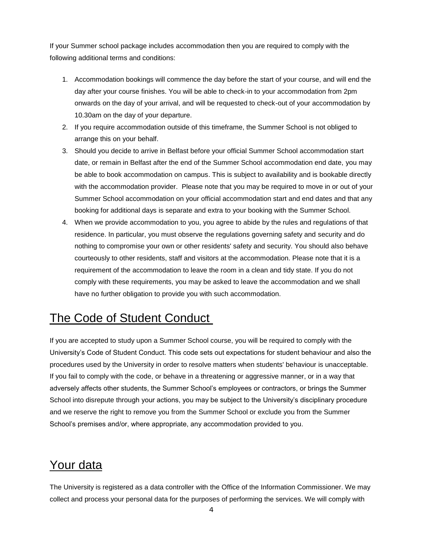If your Summer school package includes accommodation then you are required to comply with the following additional terms and conditions:

- 1. Accommodation bookings will commence the day before the start of your course, and will end the day after your course finishes. You will be able to check-in to your accommodation from 2pm onwards on the day of your arrival, and will be requested to check-out of your accommodation by 10.30am on the day of your departure.
- 2. If you require accommodation outside of this timeframe, the Summer School is not obliged to arrange this on your behalf.
- 3. Should you decide to arrive in Belfast before your official Summer School accommodation start date, or remain in Belfast after the end of the Summer School accommodation end date, you may be able to book accommodation on campus. This is subject to availability and is bookable directly with the accommodation provider. Please note that you may be required to move in or out of your Summer School accommodation on your official accommodation start and end dates and that any booking for additional days is separate and extra to your booking with the Summer School.
- 4. When we provide accommodation to you, you agree to abide by the rules and regulations of that residence. In particular, you must observe the regulations governing safety and security and do nothing to compromise your own or other residents' safety and security. You should also behave courteously to other residents, staff and visitors at the accommodation. Please note that it is a requirement of the accommodation to leave the room in a clean and tidy state. If you do not comply with these requirements, you may be asked to leave the accommodation and we shall have no further obligation to provide you with such accommodation.

## The Code of Student Conduct

If you are accepted to study upon a Summer School course, you will be required to comply with the University's Code of Student Conduct. This code sets out expectations for student behaviour and also the procedures used by the University in order to resolve matters when students' behaviour is unacceptable. If you fail to comply with the code, or behave in a threatening or aggressive manner, or in a way that adversely affects other students, the Summer School's employees or contractors, or brings the Summer School into disrepute through your actions, you may be subject to the University's disciplinary procedure and we reserve the right to remove you from the Summer School or exclude you from the Summer School's premises and/or, where appropriate, any accommodation provided to you.

## Your data

The University is registered as a data controller with the Office of the Information Commissioner. We may collect and process your personal data for the purposes of performing the services. We will comply with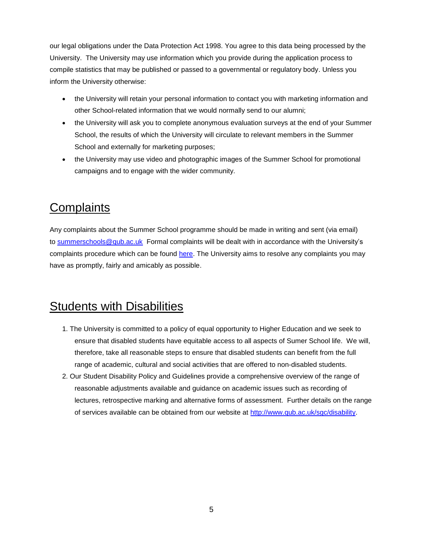our legal obligations under the Data Protection Act 1998. You agree to this data being processed by the University. The University may use information which you provide during the application process to compile statistics that may be published or passed to a governmental or regulatory body. Unless you inform the University otherwise:

- the University will retain your personal information to contact you with marketing information and other School-related information that we would normally send to our alumni;
- the University will ask you to complete anonymous evaluation surveys at the end of your Summer School, the results of which the University will circulate to relevant members in the Summer School and externally for marketing purposes;
- the University may use video and photographic images of the Summer School for promotional campaigns and to engage with the wider community.

# **Complaints**

Any complaints about the Summer School programme should be made in writing and sent (via email) to [summerschools@qub.ac.uk](mailto:summerschools@qub.ac.uk) Formal complaints will be dealt with in accordance with the University's complaints procedure which can be found [here.](http://www.qub.ac.uk/directorates/AcademicStudentAffairs/AcademicAffairs/GeneralRegulations/Procedures/StudentComplaintsProcedure/) The University aims to resolve any complaints you may have as promptly, fairly and amicably as possible.

## Students with Disabilities

- 1. The University is committed to a policy of equal opportunity to Higher Education and we seek to ensure that disabled students have equitable access to all aspects of Sumer School life. We will, therefore, take all reasonable steps to ensure that disabled students can benefit from the full range of academic, cultural and social activities that are offered to non-disabled students.
- 2. Our Student Disability Policy and Guidelines provide a comprehensive overview of the range of reasonable adjustments available and guidance on academic issues such as recording of lectures, retrospective marking and alternative forms of assessment. Further details on the range of services available can be obtained from our website at [http://www.qub.ac.uk/sgc/disability.](http://www.qub.ac.uk/sgc/disability)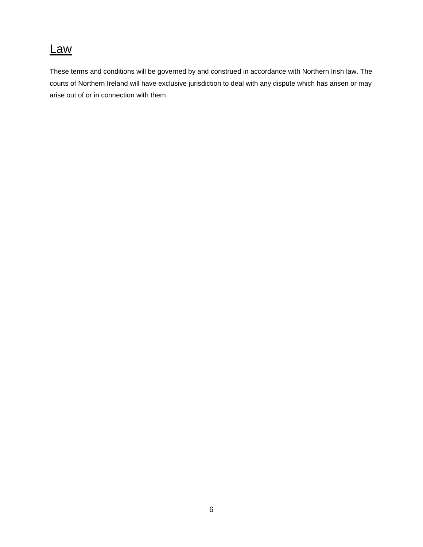### Law

These terms and conditions will be governed by and construed in accordance with Northern Irish law. The courts of Northern Ireland will have exclusive jurisdiction to deal with any dispute which has arisen or may arise out of or in connection with them.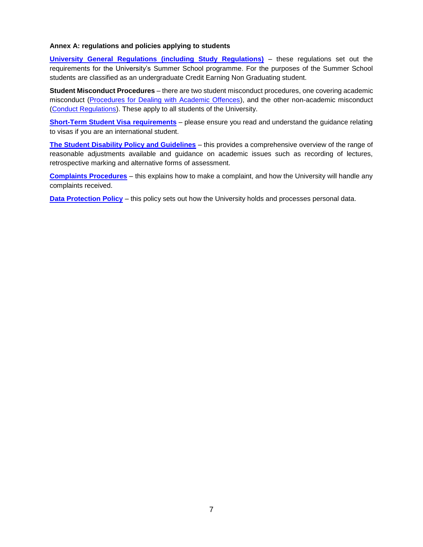#### **Annex A: regulations and policies applying to students**

**[University General Regulations \(including Study Regulations\)](http://www.qub.ac.uk/directorates/AcademicStudentAffairs/AcademicAffairs/GeneralRegulations/Procedures/StudentComplaintsProcedure/)** – these regulations set out the requirements for the University's Summer School programme. For the purposes of the Summer School students are classified as an undergraduate Credit Earning Non Graduating student.

**Student Misconduct Procedures** – there are two student misconduct procedures, one covering academic misconduct [\(Procedures for Dealing with Academic Offences\)](http://www.qub.ac.uk/directorates/AcademicStudentAffairs/AcademicAffairs/GeneralRegulations/Procedures/ProceduresforDealingwithAcademicOffences/), and the other non-academic misconduct [\(Conduct Regulations\)](http://www.qub.ac.uk/directorates/AcademicStudentAffairs/AcademicAffairs/GeneralRegulations/ConductRegulations/). These apply to all students of the University.

**[Short-Term Student Visa](http://www.qub.ac.uk/sites/iss/Filestore/Filetoupload,604766,en.pdf) requirements** – please ensure you read and understand the guidance relating to visas if you are an international student.

**[The Student Disability Policy and Guidelines](http://www.qub.ac.uk/directorates/sgc/disability/UniversityPolicyonDisabilityRelatedPublications/)** – this provides a comprehensive overview of the range of reasonable adjustments available and guidance on academic issues such as recording of lectures, retrospective marking and alternative forms of assessment.

**[Complaints Procedures](http://www.qub.ac.uk/directorates/AcademicStudentAffairs/AcademicAffairs/GeneralRegulations/Procedures/StudentComplaintsProcedure/)** – this explains how to make a complaint, and how the University will handle any complaints received.

**[Data Protection Policy](http://www.qub.ac.uk/home/Discover/About-Queens/Leadership-and-structure/Registrars-Office/FileStore/Filetoupload,732891,en.pdf)** – this policy sets out how the University holds and processes personal data.